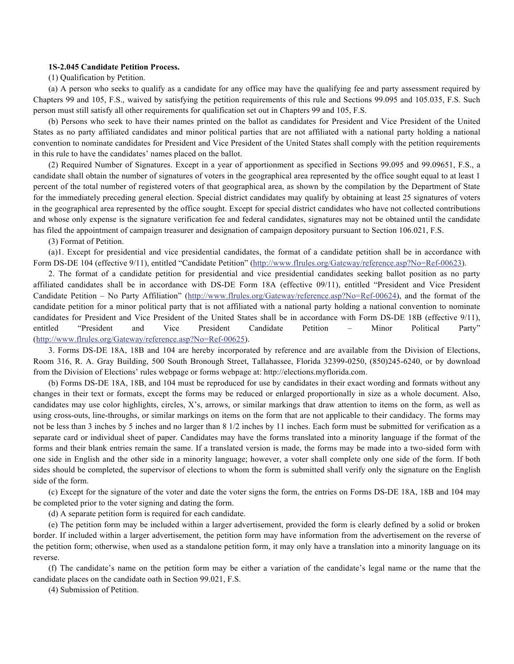## **1S-2.045 Candidate Petition Process.**

(1) Qualification by Petition.

(a) A person who seeks to qualify as a candidate for any office may have the qualifying fee and party assessment required by Chapters 99 and 105, F.S., waived by satisfying the petition requirements of this rule and Sections 99.095 and 105.035, F.S. Such person must still satisfy all other requirements for qualification set out in Chapters 99 and 105, F.S.

(b) Persons who seek to have their names printed on the ballot as candidates for President and Vice President of the United States as no party affiliated candidates and minor political parties that are not affiliated with a national party holding a national convention to nominate candidates for President and Vice President of the United States shall comply with the petition requirements in this rule to have the candidates' names placed on the ballot.

(2) Required Number of Signatures. Except in a year of apportionment as specified in Sections 99.095 and 99.09651, F.S., a candidate shall obtain the number of signatures of voters in the geographical area represented by the office sought equal to at least 1 percent of the total number of registered voters of that geographical area, as shown by the compilation by the Department of State for the immediately preceding general election. Special district candidates may qualify by obtaining at least 25 signatures of voters in the geographical area represented by the office sought. Except for special district candidates who have not collected contributions and whose only expense is the signature verification fee and federal candidates, signatures may not be obtained until the candidate has filed the appointment of campaign treasurer and designation of campaign depository pursuant to Section 106.021, F.S.

(3) Format of Petition.

(a)1. Except for presidential and vice presidential candidates, the format of a candidate petition shall be in accordance with Form DS-DE 104 (effective 9/11), entitled "Candidate Petition" (http://www.flrules.org/Gateway/reference.asp?No=Ref-00623).

2. The format of a candidate petition for presidential and vice presidential candidates seeking ballot position as no party affiliated candidates shall be in accordance with DS-DE Form 18A (effective 09/11), entitled "President and Vice President Candidate Petition – No Party Affiliation" (http://www.flrules.org/Gateway/reference.asp?No=Ref-00624), and the format of the candidate petition for a minor political party that is not affiliated with a national party holding a national convention to nominate candidates for President and Vice President of the United States shall be in accordance with Form DS-DE 18B (effective 9/11), entitled "President and Vice President Candidate Petition – Minor Political Party" (http://www.flrules.org/Gateway/reference.asp?No=Ref-00625).

3. Forms DS-DE 18A, 18B and 104 are hereby incorporated by reference and are available from the Division of Elections, Room 316, R. A. Gray Building, 500 South Bronough Street, Tallahassee, Florida 32399-0250, (850)245-6240, or by download from the Division of Elections' rules webpage or forms webpage at: http://elections.myflorida.com.

(b) Forms DS-DE 18A, 18B, and 104 must be reproduced for use by candidates in their exact wording and formats without any changes in their text or formats, except the forms may be reduced or enlarged proportionally in size as a whole document. Also, candidates may use color highlights, circles, X's, arrows, or similar markings that draw attention to items on the form, as well as using cross-outs, line-throughs, or similar markings on items on the form that are not applicable to their candidacy. The forms may not be less than 3 inches by 5 inches and no larger than 8 1/2 inches by 11 inches. Each form must be submitted for verification as a separate card or individual sheet of paper. Candidates may have the forms translated into a minority language if the format of the forms and their blank entries remain the same. If a translated version is made, the forms may be made into a two-sided form with one side in English and the other side in a minority language; however, a voter shall complete only one side of the form. If both sides should be completed, the supervisor of elections to whom the form is submitted shall verify only the signature on the English side of the form.

(c) Except for the signature of the voter and date the voter signs the form, the entries on Forms DS-DE 18A, 18B and 104 may be completed prior to the voter signing and dating the form.

(d) A separate petition form is required for each candidate.

(e) The petition form may be included within a larger advertisement, provided the form is clearly defined by a solid or broken border. If included within a larger advertisement, the petition form may have information from the advertisement on the reverse of the petition form; otherwise, when used as a standalone petition form, it may only have a translation into a minority language on its reverse.

(f) The candidate's name on the petition form may be either a variation of the candidate's legal name or the name that the candidate places on the candidate oath in Section 99.021, F.S.

(4) Submission of Petition.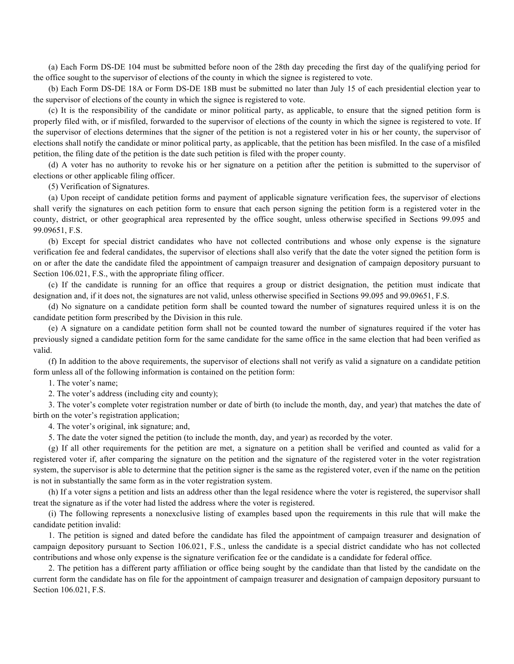(a) Each Form DS-DE 104 must be submitted before noon of the 28th day preceding the first day of the qualifying period for the office sought to the supervisor of elections of the county in which the signee is registered to vote.

(b) Each Form DS-DE 18A or Form DS-DE 18B must be submitted no later than July 15 of each presidential election year to the supervisor of elections of the county in which the signee is registered to vote.

(c) It is the responsibility of the candidate or minor political party, as applicable, to ensure that the signed petition form is properly filed with, or if misfiled, forwarded to the supervisor of elections of the county in which the signee is registered to vote. If the supervisor of elections determines that the signer of the petition is not a registered voter in his or her county, the supervisor of elections shall notify the candidate or minor political party, as applicable, that the petition has been misfiled. In the case of a misfiled petition, the filing date of the petition is the date such petition is filed with the proper county.

(d) A voter has no authority to revoke his or her signature on a petition after the petition is submitted to the supervisor of elections or other applicable filing officer.

(5) Verification of Signatures.

(a) Upon receipt of candidate petition forms and payment of applicable signature verification fees, the supervisor of elections shall verify the signatures on each petition form to ensure that each person signing the petition form is a registered voter in the county, district, or other geographical area represented by the office sought, unless otherwise specified in Sections 99.095 and 99.09651, F.S.

(b) Except for special district candidates who have not collected contributions and whose only expense is the signature verification fee and federal candidates, the supervisor of elections shall also verify that the date the voter signed the petition form is on or after the date the candidate filed the appointment of campaign treasurer and designation of campaign depository pursuant to Section 106.021, F.S., with the appropriate filing officer.

(c) If the candidate is running for an office that requires a group or district designation, the petition must indicate that designation and, if it does not, the signatures are not valid, unless otherwise specified in Sections 99.095 and 99.09651, F.S.

(d) No signature on a candidate petition form shall be counted toward the number of signatures required unless it is on the candidate petition form prescribed by the Division in this rule.

(e) A signature on a candidate petition form shall not be counted toward the number of signatures required if the voter has previously signed a candidate petition form for the same candidate for the same office in the same election that had been verified as valid.

(f) In addition to the above requirements, the supervisor of elections shall not verify as valid a signature on a candidate petition form unless all of the following information is contained on the petition form:

1. The voter's name;

2. The voter's address (including city and county);

3. The voter's complete voter registration number or date of birth (to include the month, day, and year) that matches the date of birth on the voter's registration application;

4. The voter's original, ink signature; and,

5. The date the voter signed the petition (to include the month, day, and year) as recorded by the voter.

(g) If all other requirements for the petition are met, a signature on a petition shall be verified and counted as valid for a registered voter if, after comparing the signature on the petition and the signature of the registered voter in the voter registration system, the supervisor is able to determine that the petition signer is the same as the registered voter, even if the name on the petition is not in substantially the same form as in the voter registration system.

(h) If a voter signs a petition and lists an address other than the legal residence where the voter is registered, the supervisor shall treat the signature as if the voter had listed the address where the voter is registered.

(i) The following represents a nonexclusive listing of examples based upon the requirements in this rule that will make the candidate petition invalid:

1. The petition is signed and dated before the candidate has filed the appointment of campaign treasurer and designation of campaign depository pursuant to Section 106.021, F.S., unless the candidate is a special district candidate who has not collected contributions and whose only expense is the signature verification fee or the candidate is a candidate for federal office.

2. The petition has a different party affiliation or office being sought by the candidate than that listed by the candidate on the current form the candidate has on file for the appointment of campaign treasurer and designation of campaign depository pursuant to Section 106.021, F.S.